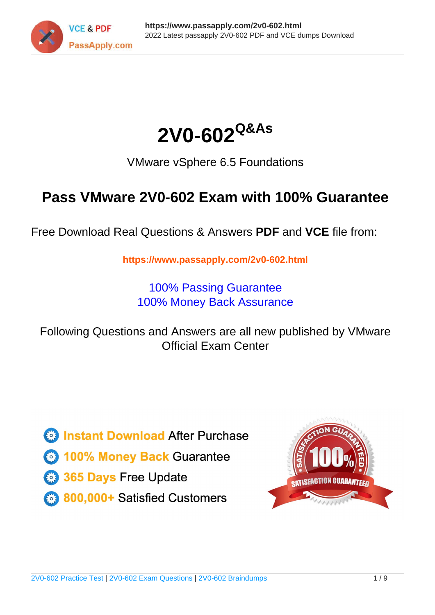



VMware vSphere 6.5 Foundations

# **Pass VMware 2V0-602 Exam with 100% Guarantee**

Free Download Real Questions & Answers **PDF** and **VCE** file from:

**https://www.passapply.com/2v0-602.html**

100% Passing Guarantee 100% Money Back Assurance

Following Questions and Answers are all new published by VMware Official Exam Center

**C** Instant Download After Purchase

**83 100% Money Back Guarantee** 

- 365 Days Free Update
- 800,000+ Satisfied Customers

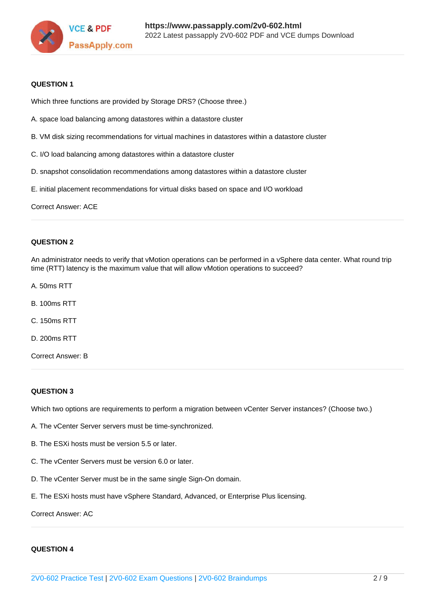

#### **QUESTION 1**

Which three functions are provided by Storage DRS? (Choose three.)

- A. space load balancing among datastores within a datastore cluster
- B. VM disk sizing recommendations for virtual machines in datastores within a datastore cluster
- C. I/O load balancing among datastores within a datastore cluster
- D. snapshot consolidation recommendations among datastores within a datastore cluster
- E. initial placement recommendations for virtual disks based on space and I/O workload

Correct Answer: ACE

#### **QUESTION 2**

An administrator needs to verify that vMotion operations can be performed in a vSphere data center. What round trip time (RTT) latency is the maximum value that will allow vMotion operations to succeed?

- A. 50ms RTT
- B. 100ms RTT
- C. 150ms RTT
- D. 200ms RTT
- Correct Answer: B

#### **QUESTION 3**

Which two options are requirements to perform a migration between vCenter Server instances? (Choose two.)

- A. The vCenter Server servers must be time-synchronized.
- B. The ESXi hosts must be version 5.5 or later.
- C. The vCenter Servers must be version 6.0 or later.
- D. The vCenter Server must be in the same single Sign-On domain.
- E. The ESXi hosts must have vSphere Standard, Advanced, or Enterprise Plus licensing.

Correct Answer: AC

#### **QUESTION 4**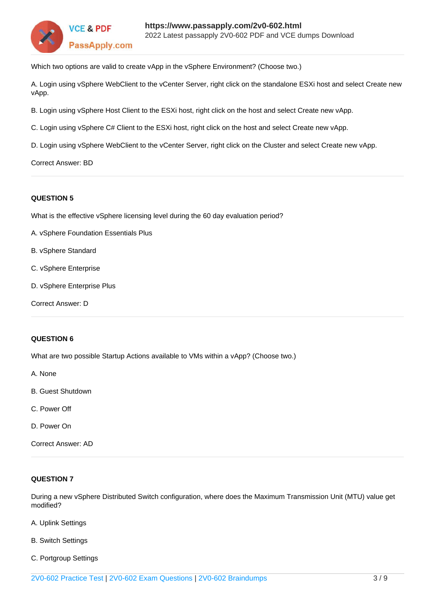

Which two options are valid to create vApp in the vSphere Environment? (Choose two.)

A. Login using vSphere WebClient to the vCenter Server, right click on the standalone ESXi host and select Create new vApp.

B. Login using vSphere Host Client to the ESXi host, right click on the host and select Create new vApp.

C. Login using vSphere C# Client to the ESXi host, right click on the host and select Create new vApp.

D. Login using vSphere WebClient to the vCenter Server, right click on the Cluster and select Create new vApp.

#### Correct Answer: BD

### **QUESTION 5**

What is the effective vSphere licensing level during the 60 day evaluation period?

- A. vSphere Foundation Essentials Plus
- B. vSphere Standard
- C. vSphere Enterprise
- D. vSphere Enterprise Plus

Correct Answer: D

# **QUESTION 6**

What are two possible Startup Actions available to VMs within a vApp? (Choose two.)

A. None

- B. Guest Shutdown
- C. Power Off
- D. Power On

Correct Answer: AD

# **QUESTION 7**

During a new vSphere Distributed Switch configuration, where does the Maximum Transmission Unit (MTU) value get modified?

- A. Uplink Settings
- B. Switch Settings
- C. Portgroup Settings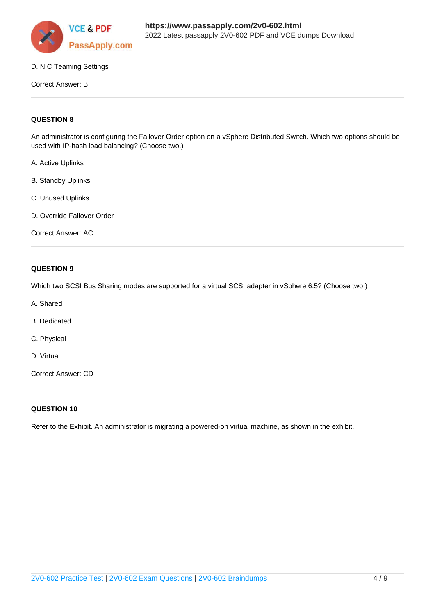

# D. NIC Teaming Settings

#### Correct Answer: B

# **QUESTION 8**

An administrator is configuring the Failover Order option on a vSphere Distributed Switch. Which two options should be used with IP-hash load balancing? (Choose two.)

- A. Active Uplinks
- B. Standby Uplinks
- C. Unused Uplinks
- D. Override Failover Order

Correct Answer: AC

# **QUESTION 9**

Which two SCSI Bus Sharing modes are supported for a virtual SCSI adapter in vSphere 6.5? (Choose two.)

- A. Shared
- B. Dedicated
- C. Physical
- D. Virtual

Correct Answer: CD

#### **QUESTION 10**

Refer to the Exhibit. An administrator is migrating a powered-on virtual machine, as shown in the exhibit.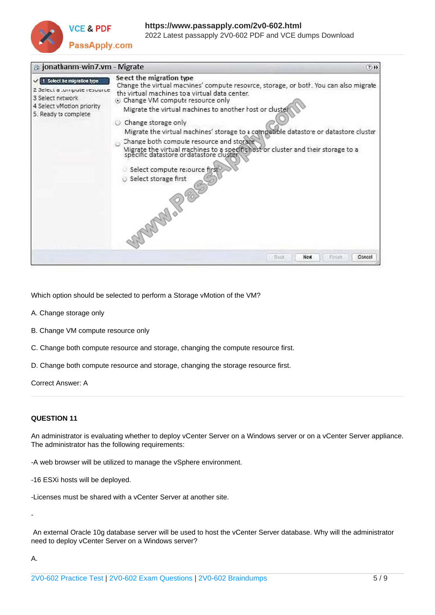

| <b>B</b> jonathanm-win7.vm - Migrate                                                                                                |                                                                                                                                                                                                                                                                                                                                                                                                                                                                                                                                                                                                                                | $2 + 11$               |
|-------------------------------------------------------------------------------------------------------------------------------------|--------------------------------------------------------------------------------------------------------------------------------------------------------------------------------------------------------------------------------------------------------------------------------------------------------------------------------------------------------------------------------------------------------------------------------------------------------------------------------------------------------------------------------------------------------------------------------------------------------------------------------|------------------------|
| 1 Select be migration type<br>2 3 clear a tempute resource<br>3 Select network<br>4 Select vMotion priority<br>5. Ready to complete | Seect the migration type<br>Change the virtual macnines' compute resource, storage, or both. You can also migrate<br>the virtual machines to a virtual data center.<br><b>O</b> Change VM compute resource only<br>Migrate the virtual machines to another rost or clustel<br>Change storage only<br>Migrate the virtual machines' storage to a compatible datasto e or datastore cluster<br>Change both compute resource and storage<br>Migrate the virtual machines to a specific host or cluster and their storage to a<br>specific datastore or datastore cluster<br>Select compute resource first<br>Select storage first |                        |
|                                                                                                                                     | Fight                                                                                                                                                                                                                                                                                                                                                                                                                                                                                                                                                                                                                          | Nex<br>Finish<br>Conce |

Which option should be selected to perform a Storage vMotion of the VM?

- A. Change storage only
- B. Change VM compute resource only
- C. Change both compute resource and storage, changing the compute resource first.
- D. Change both compute resource and storage, changing the storage resource first.

Correct Answer: A

#### **QUESTION 11**

An administrator is evaluating whether to deploy vCenter Server on a Windows server or on a vCenter Server appliance. The administrator has the following requirements:

-A web browser will be utilized to manage the vSphere environment.

-16 ESXi hosts will be deployed.

-Licenses must be shared with a vCenter Server at another site.

 An external Oracle 10g database server will be used to host the vCenter Server database. Why will the administrator need to deploy vCenter Server on a Windows server?

A.

-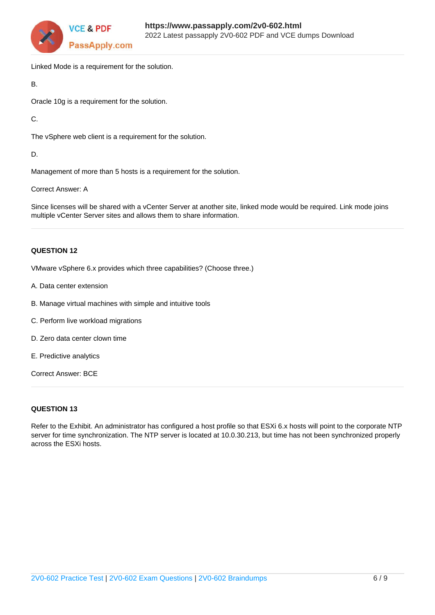

Linked Mode is a requirement for the solution.

B.

Oracle 10g is a requirement for the solution.

C.

The vSphere web client is a requirement for the solution.

D.

Management of more than 5 hosts is a requirement for the solution.

Correct Answer: A

Since licenses will be shared with a vCenter Server at another site, linked mode would be required. Link mode joins multiple vCenter Server sites and allows them to share information.

# **QUESTION 12**

VMware vSphere 6.x provides which three capabilities? (Choose three.)

- A. Data center extension
- B. Manage virtual machines with simple and intuitive tools
- C. Perform live workload migrations
- D. Zero data center clown time
- E. Predictive analytics

Correct Answer: BCE

# **QUESTION 13**

Refer to the Exhibit. An administrator has configured a host profile so that ESXi 6.x hosts will point to the corporate NTP server for time synchronization. The NTP server is located at 10.0.30.213, but time has not been synchronized properly across the ESXi hosts.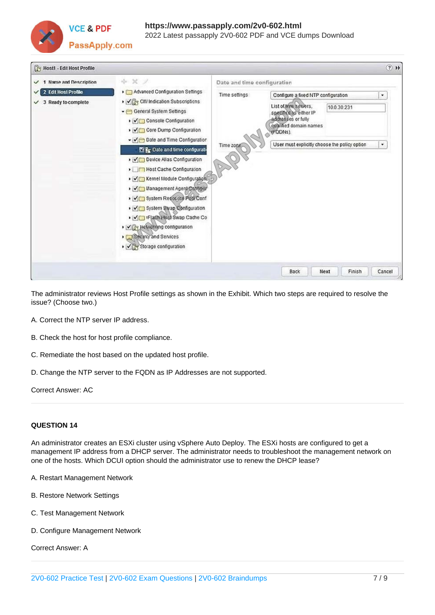

| Host1 - Edit Host Profile |                                                                                                                                                                                                                                                                                                                                                                                                                    |                             |                                                                                                            |                | $(2)$ $\blacktriangleright$ |  |  |  |
|---------------------------|--------------------------------------------------------------------------------------------------------------------------------------------------------------------------------------------------------------------------------------------------------------------------------------------------------------------------------------------------------------------------------------------------------------------|-----------------------------|------------------------------------------------------------------------------------------------------------|----------------|-----------------------------|--|--|--|
| 1 Name and Description    | ÷ X /                                                                                                                                                                                                                                                                                                                                                                                                              | Date and time configuration |                                                                                                            |                |                             |  |  |  |
| 2 Edit Host Profile       | > [7] Advanced Configuration Settings                                                                                                                                                                                                                                                                                                                                                                              | Time settings               | Configure a fixed NTP configuration                                                                        | ۷              |                             |  |  |  |
| 3 Ready to complete       | ▶ √ Gr CIM Indication Subscriptions<br>- General System Settings<br>▶ √ Console Configuration<br>▶ √ Core Dump Configuration                                                                                                                                                                                                                                                                                       |                             | List of him servers.<br>specificd as either IP<br>addresses or fully<br>qualified domain names<br>(FODNs). | 10.0.30.231    |                             |  |  |  |
|                           | Date and Time Configuration<br><b>W</b> F <sub>ig</sub> Date and time configuration<br>Device Alias Configuration<br>Host Cache Configuration<br>▶ √ Rernel Module Configuration<br>> Vill Management Agent Contigur<br>> Vir System Resource Pou Conf<br>▶ V System Swap Configuration<br>▶ V U vFlash Host Swap Cache Co<br>· Viz Networking configuration<br>Security and Services<br>▶ √ Storage configuration | Time zone                   | User must explicitly choose the policy option                                                              |                | ۰                           |  |  |  |
|                           |                                                                                                                                                                                                                                                                                                                                                                                                                    |                             | <b>Back</b>                                                                                                | Next<br>Finish | Cancel                      |  |  |  |

The administrator reviews Host Profile settings as shown in the Exhibit. Which two steps are required to resolve the issue? (Choose two.)

- A. Correct the NTP server IP address.
- B. Check the host for host profile compliance.
- C. Remediate the host based on the updated host profile.
- D. Change the NTP server to the FQDN as IP Addresses are not supported.

Correct Answer: AC

# **QUESTION 14**

An administrator creates an ESXi cluster using vSphere Auto Deploy. The ESXi hosts are configured to get a management IP address from a DHCP server. The administrator needs to troubleshoot the management network on one of the hosts. Which DCUI option should the administrator use to renew the DHCP lease?

- A. Restart Management Network
- B. Restore Network Settings
- C. Test Management Network
- D. Configure Management Network

Correct Answer: A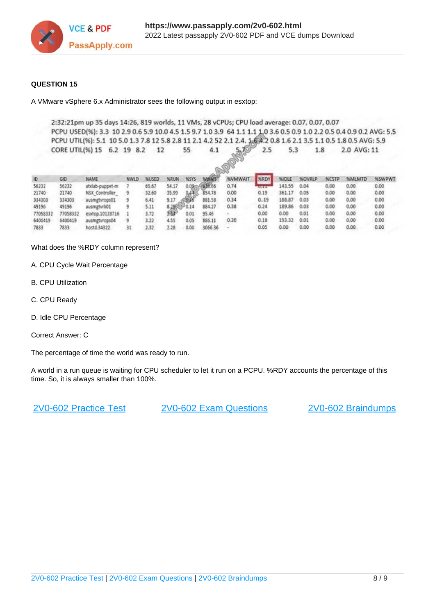

# **QUESTION 15**

A VMware vSphere 6.x Administrator sees the following output in esxtop:

2:32:21pm up 35 days 14:26, 819 worlds, 11 VMs, 28 vCPUs; CPU load average: 0.07, 0.07, 0.07 PCPU USED(%): 3.3 10 2.9 0.6 5.9 10.0 4.5 1.5 9.7 1.0 3.9 64 1.1 1.1 1.0 3.6 0.5 0.9 1.0 2.2 0.5 0.4 0.9 0.2 AVG: 5.5 PCPU UTIL(%): 5.1 10 5.0 1.3 7.8 12 5.8 2.8 11 2.1 4.2 52 2.1 2.4. 1 6 4.2 0.8 1.6 2.1 3.5 1.1 0.5 1.8 0.5 AVG: 5.9 CORE UTIL(%) 15 6.2 19 8.2  $12$ 55  $4.1$  $5.70$  $2.5$  $5.3$ 1.8 2.0 AVG: 11

| 10       | GID      | <b>NAME</b>     | nwid | NUSED | NAUN         | <b>NSYS</b>              | <b>COMPANY</b> | <b>NVMWAIT</b> | MRDY | NUDLE  | <b>MOVRLP</b> | <b>NCSTP</b> | <b>NMLMTD</b> | <b>NSWPWT</b> |
|----------|----------|-----------------|------|-------|--------------|--------------------------|----------------|----------------|------|--------|---------------|--------------|---------------|---------------|
| 56232    | 56232    | atxlab-puppet-m |      | 65.67 | 54.17        | 0.09:                    | 038.66         | 0.74           |      | 143.55 | 0.04          | 0.00         | 0.00          | 0.00          |
| 21740    | 21740    | NSX Controller  |      | 32.60 | 35.99        | 0.43                     | 854,78         | 0.00           | 0.19 | 361.17 | 0.05          | 0.00         | 0.00          | 0.00          |
| 334303   | 334303   | ausmatyrops01   |      | 6.41  | 9.17         | <b><i><u>COM</u></i></b> | 881.58         | 0,34           | 0.19 | 188.87 | 0.03          | 0.00         | 0.00          | 0.00          |
| 49196    | 49196    | ausmatvrli01    |      | 5.11  | 8.2862570.14 |                          | 884.27         | 0.38           | 0.24 | 189.86 | 0.03          | 0.00         | 0.00          | 0.00          |
| 77058332 | 77058332 | esitop.10128716 |      | 3.72  |              | 0.01                     | 95.46          |                | 0.00 | 0.00   | 0.01          | 0.00         | 0.00          | 0.00          |
| 6400419  | 6400419  | ausmatyrops04   |      | 3.22  | 4.55         | 0.05                     | 886.11         | 0.20           | 0.18 | 193.32 | 0.01          | 0.00         | 0.00          | 0.00          |
| 7833     | 7833     | hostd 34322     |      | 2.32  | 2.28         | 0.00                     | 3066.36        |                | 0.05 | 0.00   | 0.00          | 0.00         | 0.00          | 0.00          |

What does the %RDY column represent?

- A. CPU Cycle Wait Percentage
- B. CPU Utilization
- C. CPU Ready
- D. Idle CPU Percentage
- Correct Answer: C

The percentage of time the world was ready to run.

A world in a run queue is waiting for CPU scheduler to let it run on a PCPU. %RDY accounts the percentage of this time. So, it is always smaller than 100%.

[2V0-602 Practice Test](https://www.passapply.com/2v0-602.html) [2V0-602 Exam Questions](https://www.passapply.com/2v0-602.html) [2V0-602 Braindumps](https://www.passapply.com/2v0-602.html)